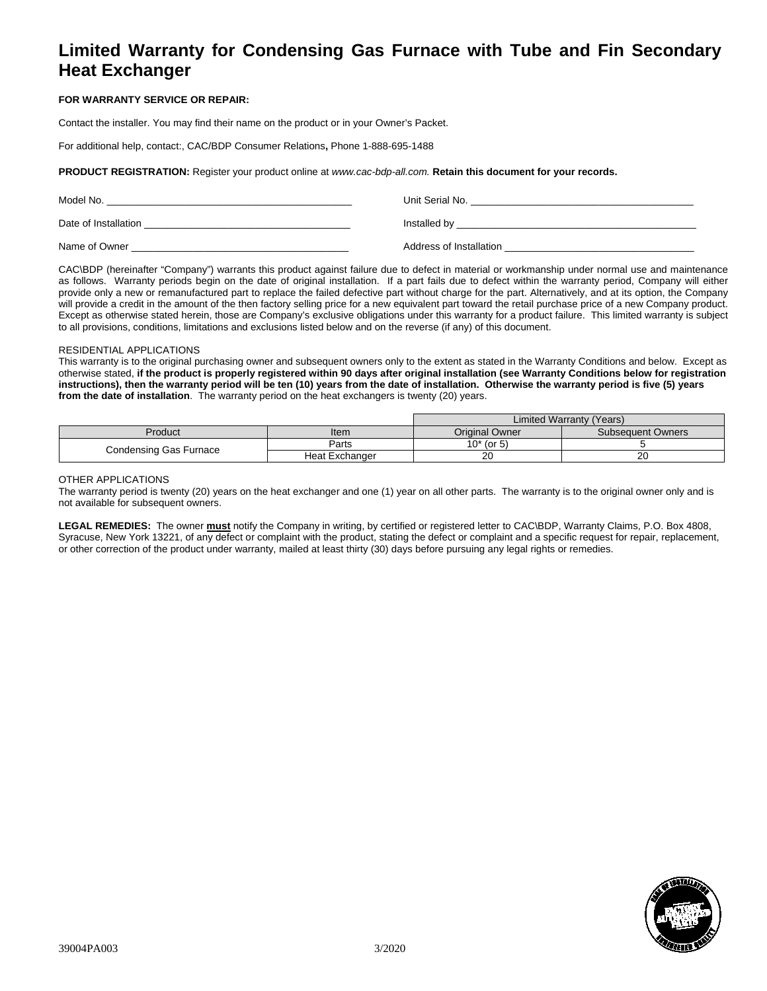# **Limited Warranty for Condensing Gas Furnace with Tube and Fin Secondary Heat Exchanger**

## **FOR WARRANTY SERVICE OR REPAIR:**

Contact the installer. You may find their name on the product or in your Owner's Packet.

For additional help, contact:, CAC/BDP Consumer Relations**,** Phone 1-888-695-1488

**PRODUCT REGISTRATION:** Register your product online at *www.cac-bdp-all.com.* **Retain this document for your records.**

| Model No.            | Unit Serial No.         |
|----------------------|-------------------------|
| Date of Installation | Installed by            |
| Name of Owner        | Address of Installation |

CAC\BDP (hereinafter "Company") warrants this product against failure due to defect in material or workmanship under normal use and maintenance as follows. Warranty periods begin on the date of original installation. If a part fails due to defect within the warranty period, Company will either provide only a new or remanufactured part to replace the failed defective part without charge for the part. Alternatively, and at its option, the Company will provide a credit in the amount of the then factory selling price for a new equivalent part toward the retail purchase price of a new Company product. Except as otherwise stated herein, those are Company's exclusive obligations under this warranty for a product failure. This limited warranty is subject to all provisions, conditions, limitations and exclusions listed below and on the reverse (if any) of this document.

### RESIDENTIAL APPLICATIONS

This warranty is to the original purchasing owner and subsequent owners only to the extent as stated in the Warranty Conditions and below. Except as otherwise stated, **if the product is properly registered within 90 days after original installation (see Warranty Conditions below for registration instructions), then the warranty period will be ten (10) years from the date of installation. Otherwise the warranty period is five (5) years from the date of installation**. The warranty period on the heat exchangers is twenty (20) years.

|                        |                | Limited Warranty (Years) |                          |
|------------------------|----------------|--------------------------|--------------------------|
| Product                | Item           | Original Owner           | <b>Subsequent Owners</b> |
| Condensing Gas Furnace | Parts          | $10*$ (or 5)             |                          |
|                        | Heat Exchanger | 20                       | 20                       |

#### OTHER APPLICATIONS

The warranty period is twenty (20) years on the heat exchanger and one (1) year on all other parts. The warranty is to the original owner only and is not available for subsequent owners.

**LEGAL REMEDIES:** The owner **must** notify the Company in writing, by certified or registered letter to CAC\BDP, Warranty Claims, P.O. Box 4808, Syracuse, New York 13221, of any defect or complaint with the product, stating the defect or complaint and a specific request for repair, replacement, or other correction of the product under warranty, mailed at least thirty (30) days before pursuing any legal rights or remedies.